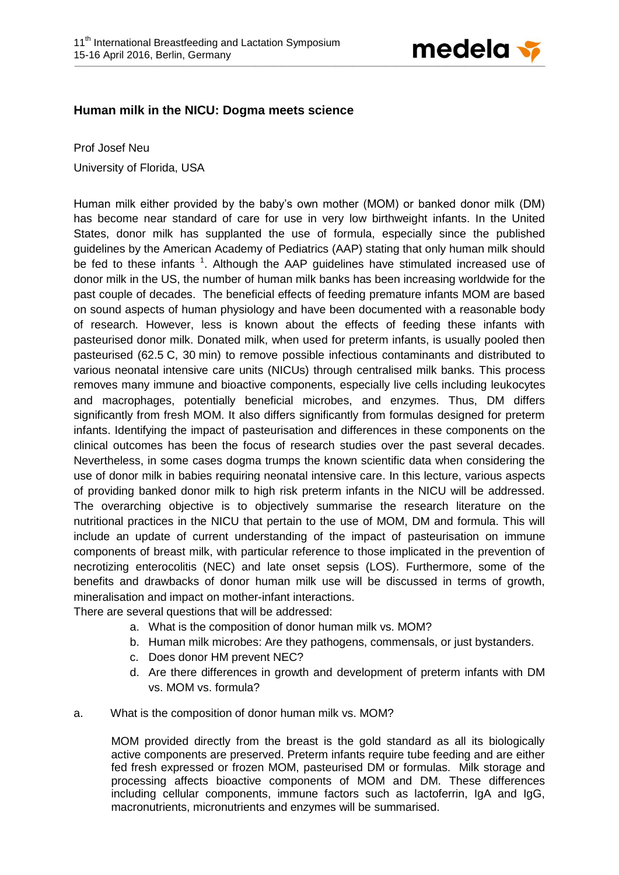

## **Human milk in the NICU: Dogma meets science**

Prof Josef Neu

University of Florida, USA

Human milk either provided by the baby's own mother (MOM) or banked donor milk (DM) has become near standard of care for use in very low birthweight infants. In the United States, donor milk has supplanted the use of formula, especially since the published guidelines by the American Academy of Pediatrics (AAP) stating that only human milk should be fed to these infants <sup>1</sup>[.](#page-3-0) Although the AAP guidelines have stimulated increased use of donor milk in the US, the number of human milk banks has been increasing worldwide for the past couple of decades. The beneficial effects of feeding premature infants MOM are based on sound aspects of human physiology and have been documented with a reasonable body of research. However, less is known about the effects of feeding these infants with pasteurised donor milk. Donated milk, when used for preterm infants, is usually pooled then pasteurised (62.5 C, 30 min) to remove possible infectious contaminants and distributed to various neonatal intensive care units (NICUs) through centralised milk banks. This process removes many immune and bioactive components, especially live cells including leukocytes and macrophages, potentially beneficial microbes, and enzymes. Thus, DM differs significantly from fresh MOM. It also differs significantly from formulas designed for preterm infants. Identifying the impact of pasteurisation and differences in these components on the clinical outcomes has been the focus of research studies over the past several decades. Nevertheless, in some cases dogma trumps the known scientific data when considering the use of donor milk in babies requiring neonatal intensive care. In this lecture, various aspects of providing banked donor milk to high risk preterm infants in the NICU will be addressed. The overarching objective is to objectively summarise the research literature on the nutritional practices in the NICU that pertain to the use of MOM, DM and formula. This will include an update of current understanding of the impact of pasteurisation on immune components of breast milk, with particular reference to those implicated in the prevention of necrotizing enterocolitis (NEC) and late onset sepsis (LOS). Furthermore, some of the benefits and drawbacks of donor human milk use will be discussed in terms of growth, mineralisation and impact on mother-infant interactions.

There are several questions that will be addressed:

- a. What is the composition of donor human milk vs. MOM?
- b. Human milk microbes: Are they pathogens, commensals, or just bystanders.
- c. Does donor HM prevent NEC?
- d. Are there differences in growth and development of preterm infants with DM vs. MOM vs. formula?
- a. What is the composition of donor human milk vs. MOM?

MOM provided directly from the breast is the gold standard as all its biologically active components are preserved. Preterm infants require tube feeding and are either fed fresh expressed or frozen MOM, pasteurised DM or formulas. Milk storage and processing affects bioactive components of MOM and DM. These differences including cellular components, immune factors such as lactoferrin, IgA and IgG, macronutrients, micronutrients and enzymes will be summarised.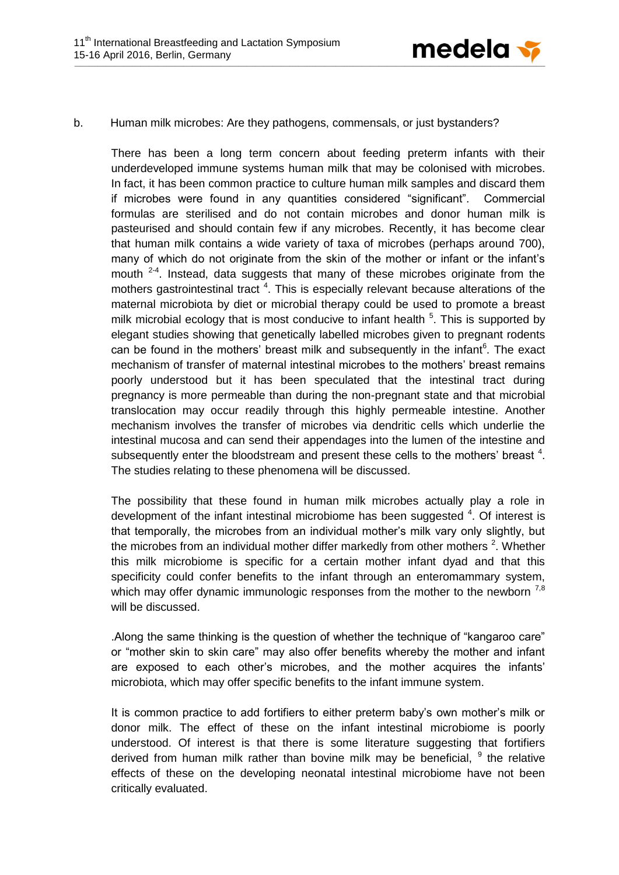

## b. Human milk microbes: Are they pathogens, commensals, or just bystanders?

There has been a long term concern about feeding preterm infants with their underdeveloped immune systems human milk that may be colonised with microbes. In fact, it has been common practice to culture human milk samples and discard them if microbes were found in any quantities considered "significant". Commercial formulas are sterilised and do not contain microbes and donor human milk is pasteurised and should contain few if any microbes. Recently, it has become clear that human milk contains a wide variety of taxa of microbes (perhaps around 700), many of which do not originate from the skin of the mother or infant or the infant's mouth  $2-4$ . Instead, data suggests that many of these microbes originate from the mothers gastrointestinal tract<sup>4</sup>[.](#page-3-2) This is especially relevant because alterations of the maternal microbiota by diet or microbial therapy could be used to promote a breast milk microbial ecology that is most conducive to infant health  $5$ . This is supported by elegant studies showing that genetically labelled microbes given to pregnant rodents can be found in the mothers' breast milk and subsequently in the infant<sup>[6](#page-3-4)</sup>. The exact mechanism of transfer of maternal intestinal microbes to the mothers' breast remains poorly understood but it has been speculated that the intestinal tract during pregnancy is more permeable than during the non-pregnant state and that microbial translocation may occur readily through this highly permeable intestine. Another mechanism involves the transfer of microbes via dendritic cells which underlie the intestinal mucosa and can send their appendages into the lumen of the intestine and subsequently enter the bloodstream and present these cells to the mothers' breast  $4$ [.](#page-3-2) The studies relating to these phenomena will be discussed.

The possibility that these found in human milk microbes actually play a role in development of the infant intestinal microbiome has been suggested  $4$ . Of interest is that temporally, the microbes from an individual mother's milk vary only slightly, but the microbes from an individual mother differ markedly from other mothers  $2$ . Whether this milk microbiome is specific for a certain mother infant dyad and that this specificity could confer benefits to the infant through an enteromammary system, which may offer dynamic immunologic responses from the mother to the newborn  $^{7,8}$  $^{7,8}$  $^{7,8}$  $^{7,8}$ will be discussed.

.Along the same thinking is the question of whether the technique of "kangaroo care" or "mother skin to skin care" may also offer benefits whereby the mother and infant are exposed to each other's microbes, and the mother acquires the infants' microbiota, which may offer specific benefits to the infant immune system.

It is common practice to add fortifiers to either preterm baby's own mother's milk or donor milk. The effect of these on the infant intestinal microbiome is poorly understood. Of interest is that there is some literature suggesting that fortifiers derived from human milk rather than bovine milk may be beneficial,  $9$  the relative effects of these on the developing neonatal intestinal microbiome have not been critically evaluated.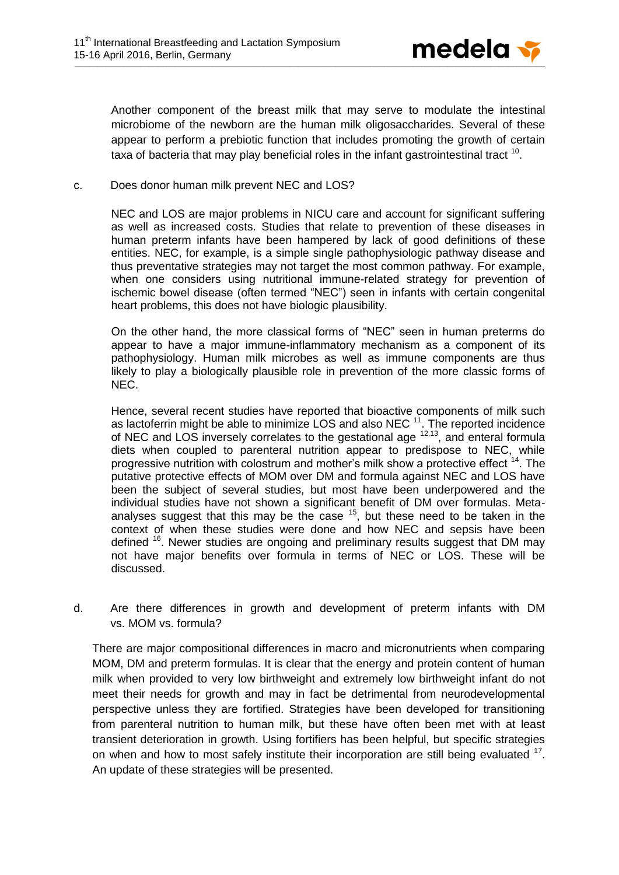

Another component of the breast milk that may serve to modulate the intestinal microbiome of the newborn are the human milk oligosaccharides. Several of these appear to perform a prebiotic function that includes promoting the growth of certain taxa of bacteria that may play beneficial roles in the infant gastrointestinal tract  $^{10}$  $^{10}$  $^{10}$ .

c. Does donor human milk prevent NEC and LOS?

NEC and LOS are major problems in NICU care and account for significant suffering as well as increased costs. Studies that relate to prevention of these diseases in human preterm infants have been hampered by lack of good definitions of these entities. NEC, for example, is a simple single pathophysiologic pathway disease and thus preventative strategies may not target the most common pathway. For example, when one considers using nutritional immune-related strategy for prevention of ischemic bowel disease (often termed "NEC") seen in infants with certain congenital heart problems, this does not have biologic plausibility.

On the other hand, the more classical forms of "NEC" seen in human preterms do appear to have a major immune-inflammatory mechanism as a component of its pathophysiology. Human milk microbes as well as immune components are thus likely to play a biologically plausible role in prevention of the more classic forms of NEC.

Hence, several recent studies have reported that bioactive components of milk such as lactoferrin might be able to minimize LOS and also NEC  $^{11}$  $^{11}$  $^{11}$ . The reported incidence of NEC and LOS inversely correlates to the gestational age  $12,13$  $12,13$ , and enteral formula diets when coupled to parenteral nutrition appear to predispose to NEC, while progressive nutrition with colostrum and mother's milk show a protective effect <sup>[14](#page-3-12)</sup>. The putative protective effects of MOM over DM and formula against NEC and LOS have been the subject of several studies, but most have been underpowered and the individual studies have not shown a significant benefit of DM over formulas. Metaanalyses suggest that this may be the case  $15$ , but these need to be taken in the context of when these studies were done and how NEC and sepsis have been defined <sup>[16](#page-3-14)</sup>. Newer studies are ongoing and preliminary results suggest that DM may not have major benefits over formula in terms of NEC or LOS. These will be discussed.

d. Are there differences in growth and development of preterm infants with DM vs. MOM vs. formula?

There are major compositional differences in macro and micronutrients when comparing MOM, DM and preterm formulas. It is clear that the energy and protein content of human milk when provided to very low birthweight and extremely low birthweight infant do not meet their needs for growth and may in fact be detrimental from neurodevelopmental perspective unless they are fortified. Strategies have been developed for transitioning from parenteral nutrition to human milk, but these have often been met with at least transient deterioration in growth. Using fortifiers has been helpful, but specific strategies on when and how to most safely institute their incorporation are still being evaluated <sup>[17](#page-3-15)</sup>. An update of these strategies will be presented.